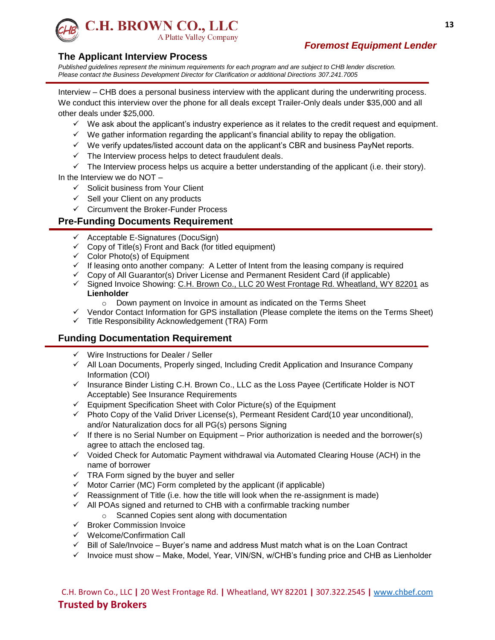

# *Foremost Equipment Lender*

#### **The Applicant Interview Process**

*Published guidelines represent the minimum requirements for each program and are subject to CHB lender discretion. Please contact the Business Development Director for Clarification or additional Directions 307.241.7005*

Interview – CHB does a personal business interview with the applicant during the underwriting process. We conduct this interview over the phone for all deals except Trailer-Only deals under \$35,000 and all other deals under \$25,000.

- $\checkmark$  We ask about the applicant's industry experience as it relates to the credit request and equipment.
- $\checkmark$  We gather information regarding the applicant's financial ability to repay the obligation.
- $\checkmark$  We verify updates/listed account data on the applicant's CBR and business PayNet reports.
- $\checkmark$  The Interview process helps to detect fraudulent deals.

 $\checkmark$  The Interview process helps us acquire a better understanding of the applicant (i.e. their story). In the Interview we do NOT –

- $\checkmark$  Solicit business from Your Client
- $\checkmark$  Sell your Client on any products
- $\checkmark$  Circumvent the Broker-Funder Process

#### **Pre-Funding Documents Requirement**

- $\checkmark$  Acceptable E-Signatures (DocuSign)
- $\checkmark$  Copy of Title(s) Front and Back (for titled equipment)
- $\checkmark$  Color Photo(s) of Equipment
- $\checkmark$  If leasing onto another company: A Letter of Intent from the leasing company is required
- $\checkmark$  Copy of All Guarantor(s) Driver License and Permanent Resident Card (if applicable)
- √ Signed Invoice Showing: C.H. Brown Co., LLC 20 West Frontage Rd. Wheatland, WY 82201 as **Lienholder**
	- o Down payment on Invoice in amount as indicated on the Terms Sheet
- $\checkmark$  Vendor Contact Information for GPS installation (Please complete the items on the Terms Sheet)
- $\checkmark$  Title Responsibility Acknowledgement (TRA) Form

#### **Funding Documentation Requirement**

- $\checkmark$  Wire Instructions for Dealer / Seller
- $\checkmark$  All Loan Documents, Properly singed, Including Credit Application and Insurance Company Information (COI)
- $\checkmark$  Insurance Binder Listing C.H. Brown Co., LLC as the Loss Payee (Certificate Holder is NOT Acceptable) See Insurance Requirements
- $\checkmark$  Equipment Specification Sheet with Color Picture(s) of the Equipment
- $\checkmark$  Photo Copy of the Valid Driver License(s), Permeant Resident Card(10 year unconditional), and/or Naturalization docs for all PG(s) persons Signing
- $\checkmark$  If there is no Serial Number on Equipment Prior authorization is needed and the borrower(s) agree to attach the enclosed tag.
- $\checkmark$  Voided Check for Automatic Payment withdrawal via Automated Clearing House (ACH) in the name of borrower
- $\checkmark$  TRA Form signed by the buyer and seller
- $\checkmark$  Motor Carrier (MC) Form completed by the applicant (if applicable)
- $\checkmark$  Reassignment of Title (i.e. how the title will look when the re-assignment is made)
- $\checkmark$  All POAs signed and returned to CHB with a confirmable tracking number
	- o Scanned Copies sent along with documentation
- $\checkmark$  Broker Commission Invoice
- $\checkmark$  Welcome/Confirmation Call
- $\checkmark$  Bill of Sale/Invoice Buyer's name and address Must match what is on the Loan Contract
- $\checkmark$  Invoice must show Make, Model, Year, VIN/SN, w/CHB's funding price and CHB as Lienholder

C.H. Brown Co., LLC **|** 20 West Frontage Rd. **|** Wheatland, WY 82201 **|** 307.322.2545 **|** [www.chbef.com](http://www.chbef.com/) **Trusted by Brokers**